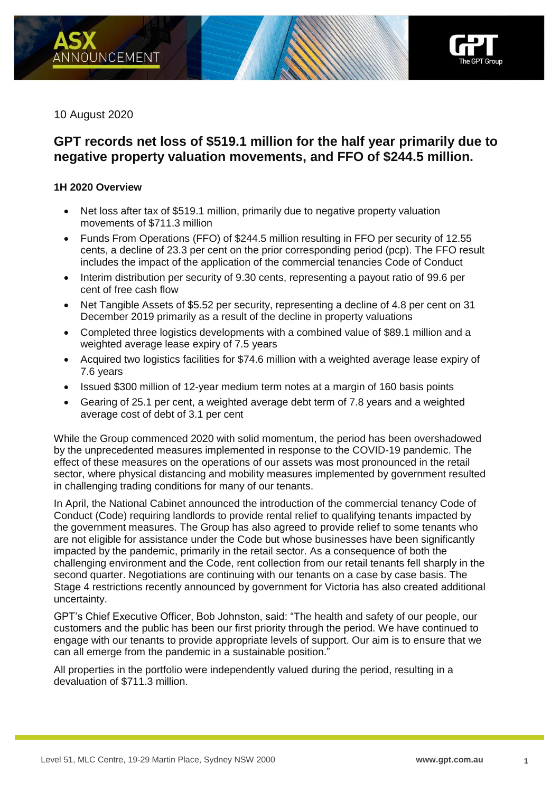

10 August 2020

# **GPT records net loss of \$519.1 million for the half year primarily due to negative property valuation movements, and FFO of \$244.5 million.**

## **1H 2020 Overview**

- Net loss after tax of \$519.1 million, primarily due to negative property valuation movements of \$711.3 million
- Funds From Operations (FFO) of \$244.5 million resulting in FFO per security of 12.55 cents, a decline of 23.3 per cent on the prior corresponding period (pcp). The FFO result includes the impact of the application of the commercial tenancies Code of Conduct
- Interim distribution per security of 9.30 cents, representing a payout ratio of 99.6 per cent of free cash flow
- Net Tangible Assets of \$5.52 per security, representing a decline of 4.8 per cent on 31 December 2019 primarily as a result of the decline in property valuations
- Completed three logistics developments with a combined value of \$89.1 million and a weighted average lease expiry of 7.5 years
- Acquired two logistics facilities for \$74.6 million with a weighted average lease expiry of 7.6 years
- Issued \$300 million of 12-year medium term notes at a margin of 160 basis points
- Gearing of 25.1 per cent, a weighted average debt term of 7.8 years and a weighted average cost of debt of 3.1 per cent

While the Group commenced 2020 with solid momentum, the period has been overshadowed by the unprecedented measures implemented in response to the COVID-19 pandemic. The effect of these measures on the operations of our assets was most pronounced in the retail sector, where physical distancing and mobility measures implemented by government resulted in challenging trading conditions for many of our tenants.

In April, the National Cabinet announced the introduction of the commercial tenancy Code of Conduct (Code) requiring landlords to provide rental relief to qualifying tenants impacted by the government measures. The Group has also agreed to provide relief to some tenants who are not eligible for assistance under the Code but whose businesses have been significantly impacted by the pandemic, primarily in the retail sector. As a consequence of both the challenging environment and the Code, rent collection from our retail tenants fell sharply in the second quarter. Negotiations are continuing with our tenants on a case by case basis. The Stage 4 restrictions recently announced by government for Victoria has also created additional uncertainty.

GPT's Chief Executive Officer, Bob Johnston, said: "The health and safety of our people, our customers and the public has been our first priority through the period. We have continued to engage with our tenants to provide appropriate levels of support. Our aim is to ensure that we can all emerge from the pandemic in a sustainable position."

All properties in the portfolio were independently valued during the period, resulting in a devaluation of \$711.3 million.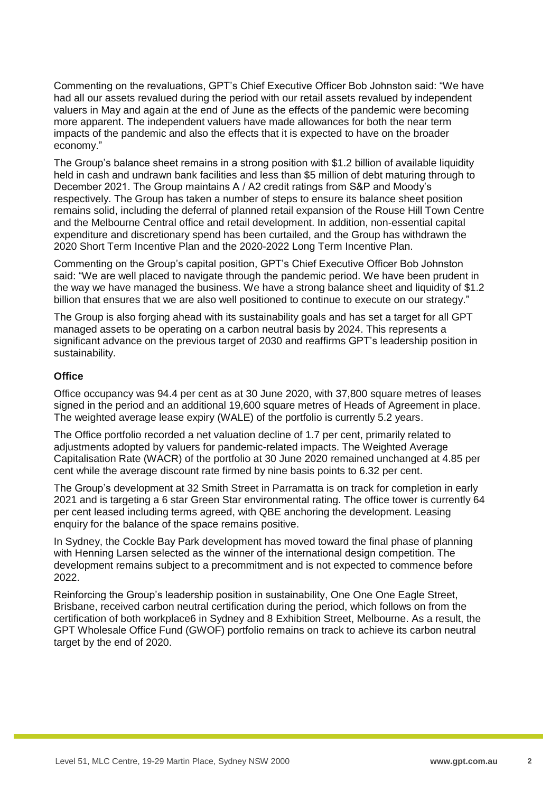Commenting on the revaluations, GPT's Chief Executive Officer Bob Johnston said: "We have had all our assets revalued during the period with our retail assets revalued by independent valuers in May and again at the end of June as the effects of the pandemic were becoming more apparent. The independent valuers have made allowances for both the near term impacts of the pandemic and also the effects that it is expected to have on the broader economy."

The Group's balance sheet remains in a strong position with \$1.2 billion of available liquidity held in cash and undrawn bank facilities and less than \$5 million of debt maturing through to December 2021. The Group maintains A / A2 credit ratings from S&P and Moody's respectively. The Group has taken a number of steps to ensure its balance sheet position remains solid, including the deferral of planned retail expansion of the Rouse Hill Town Centre and the Melbourne Central office and retail development. In addition, non-essential capital expenditure and discretionary spend has been curtailed, and the Group has withdrawn the 2020 Short Term Incentive Plan and the 2020-2022 Long Term Incentive Plan.

Commenting on the Group's capital position, GPT's Chief Executive Officer Bob Johnston said: "We are well placed to navigate through the pandemic period. We have been prudent in the way we have managed the business. We have a strong balance sheet and liquidity of \$1.2 billion that ensures that we are also well positioned to continue to execute on our strategy."

The Group is also forging ahead with its sustainability goals and has set a target for all GPT managed assets to be operating on a carbon neutral basis by 2024. This represents a significant advance on the previous target of 2030 and reaffirms GPT's leadership position in sustainability.

#### **Office**

Office occupancy was 94.4 per cent as at 30 June 2020, with 37,800 square metres of leases signed in the period and an additional 19,600 square metres of Heads of Agreement in place. The weighted average lease expiry (WALE) of the portfolio is currently 5.2 years.

The Office portfolio recorded a net valuation decline of 1.7 per cent, primarily related to adjustments adopted by valuers for pandemic-related impacts. The Weighted Average Capitalisation Rate (WACR) of the portfolio at 30 June 2020 remained unchanged at 4.85 per cent while the average discount rate firmed by nine basis points to 6.32 per cent.

The Group's development at 32 Smith Street in Parramatta is on track for completion in early 2021 and is targeting a 6 star Green Star environmental rating. The office tower is currently 64 per cent leased including terms agreed, with QBE anchoring the development. Leasing enquiry for the balance of the space remains positive.

In Sydney, the Cockle Bay Park development has moved toward the final phase of planning with Henning Larsen selected as the winner of the international design competition. The development remains subject to a precommitment and is not expected to commence before 2022.

Reinforcing the Group's leadership position in sustainability, One One One Eagle Street, Brisbane, received carbon neutral certification during the period, which follows on from the certification of both workplace6 in Sydney and 8 Exhibition Street, Melbourne. As a result, the GPT Wholesale Office Fund (GWOF) portfolio remains on track to achieve its carbon neutral target by the end of 2020.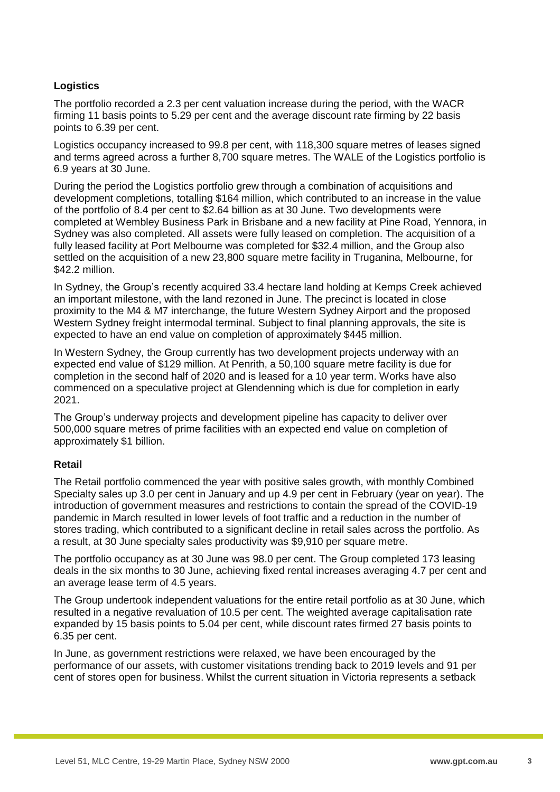# **Logistics**

The portfolio recorded a 2.3 per cent valuation increase during the period, with the WACR firming 11 basis points to 5.29 per cent and the average discount rate firming by 22 basis points to 6.39 per cent.

Logistics occupancy increased to 99.8 per cent, with 118,300 square metres of leases signed and terms agreed across a further 8,700 square metres. The WALE of the Logistics portfolio is 6.9 years at 30 June.

During the period the Logistics portfolio grew through a combination of acquisitions and development completions, totalling \$164 million, which contributed to an increase in the value of the portfolio of 8.4 per cent to \$2.64 billion as at 30 June. Two developments were completed at Wembley Business Park in Brisbane and a new facility at Pine Road, Yennora, in Sydney was also completed. All assets were fully leased on completion. The acquisition of a fully leased facility at Port Melbourne was completed for \$32.4 million, and the Group also settled on the acquisition of a new 23,800 square metre facility in Truganina, Melbourne, for \$42.2 million.

In Sydney, the Group's recently acquired 33.4 hectare land holding at Kemps Creek achieved an important milestone, with the land rezoned in June. The precinct is located in close proximity to the M4 & M7 interchange, the future Western Sydney Airport and the proposed Western Sydney freight intermodal terminal. Subject to final planning approvals, the site is expected to have an end value on completion of approximately \$445 million.

In Western Sydney, the Group currently has two development projects underway with an expected end value of \$129 million. At Penrith, a 50,100 square metre facility is due for completion in the second half of 2020 and is leased for a 10 year term. Works have also commenced on a speculative project at Glendenning which is due for completion in early 2021.

The Group's underway projects and development pipeline has capacity to deliver over 500,000 square metres of prime facilities with an expected end value on completion of approximately \$1 billion.

#### **Retail**

The Retail portfolio commenced the year with positive sales growth, with monthly Combined Specialty sales up 3.0 per cent in January and up 4.9 per cent in February (year on year). The introduction of government measures and restrictions to contain the spread of the COVID-19 pandemic in March resulted in lower levels of foot traffic and a reduction in the number of stores trading, which contributed to a significant decline in retail sales across the portfolio. As a result, at 30 June specialty sales productivity was \$9,910 per square metre.

The portfolio occupancy as at 30 June was 98.0 per cent. The Group completed 173 leasing deals in the six months to 30 June, achieving fixed rental increases averaging 4.7 per cent and an average lease term of 4.5 years.

The Group undertook independent valuations for the entire retail portfolio as at 30 June, which resulted in a negative revaluation of 10.5 per cent. The weighted average capitalisation rate expanded by 15 basis points to 5.04 per cent, while discount rates firmed 27 basis points to 6.35 per cent.

In June, as government restrictions were relaxed, we have been encouraged by the performance of our assets, with customer visitations trending back to 2019 levels and 91 per cent of stores open for business. Whilst the current situation in Victoria represents a setback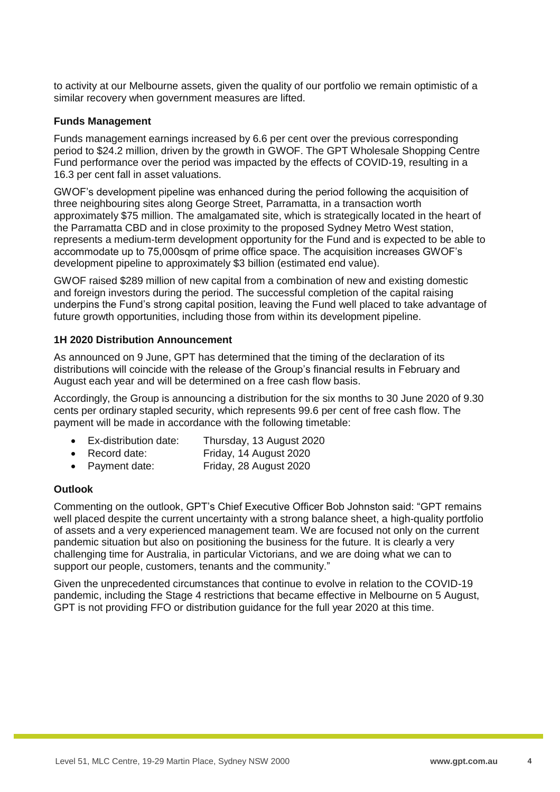to activity at our Melbourne assets, given the quality of our portfolio we remain optimistic of a similar recovery when government measures are lifted.

#### **Funds Management**

Funds management earnings increased by 6.6 per cent over the previous corresponding period to \$24.2 million, driven by the growth in GWOF. The GPT Wholesale Shopping Centre Fund performance over the period was impacted by the effects of COVID-19, resulting in a 16.3 per cent fall in asset valuations.

GWOF's development pipeline was enhanced during the period following the acquisition of three neighbouring sites along George Street, Parramatta, in a transaction worth approximately \$75 million. The amalgamated site, which is strategically located in the heart of the Parramatta CBD and in close proximity to the proposed Sydney Metro West station, represents a medium-term development opportunity for the Fund and is expected to be able to accommodate up to 75,000sqm of prime office space. The acquisition increases GWOF's development pipeline to approximately \$3 billion (estimated end value).

GWOF raised \$289 million of new capital from a combination of new and existing domestic and foreign investors during the period. The successful completion of the capital raising underpins the Fund's strong capital position, leaving the Fund well placed to take advantage of future growth opportunities, including those from within its development pipeline.

#### **1H 2020 Distribution Announcement**

As announced on 9 June, GPT has determined that the timing of the declaration of its distributions will coincide with the release of the Group's financial results in February and August each year and will be determined on a free cash flow basis.

Accordingly, the Group is announcing a distribution for the six months to 30 June 2020 of 9.30 cents per ordinary stapled security, which represents 99.6 per cent of free cash flow. The payment will be made in accordance with the following timetable:

- Ex-distribution date: Thursday, 13 August 2020
- Record date: Friday, 14 August 2020
- Payment date: Friday, 28 August 2020

#### **Outlook**

Commenting on the outlook, GPT's Chief Executive Officer Bob Johnston said: "GPT remains well placed despite the current uncertainty with a strong balance sheet, a high-quality portfolio of assets and a very experienced management team. We are focused not only on the current pandemic situation but also on positioning the business for the future. It is clearly a very challenging time for Australia, in particular Victorians, and we are doing what we can to support our people, customers, tenants and the community."

Given the unprecedented circumstances that continue to evolve in relation to the COVID-19 pandemic, including the Stage 4 restrictions that became effective in Melbourne on 5 August, GPT is not providing FFO or distribution guidance for the full year 2020 at this time.